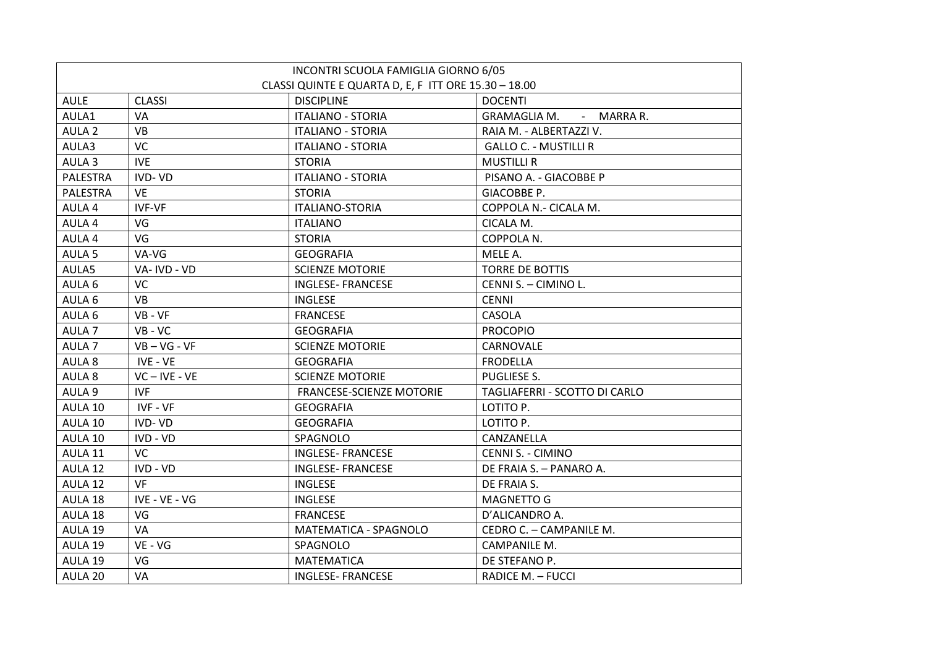|  |                   |                                                      | INCONTRI SCUOLA FAMIGLIA GIORNO 6/05 |                               |
|--|-------------------|------------------------------------------------------|--------------------------------------|-------------------------------|
|  |                   | CLASSI QUINTE E QUARTA D, E, F ITT ORE 15.30 - 18.00 |                                      |                               |
|  | <b>AULE</b>       | <b>CLASSI</b>                                        | <b>DISCIPLINE</b>                    | <b>DOCENTI</b>                |
|  | AULA1             | VA                                                   | <b>ITALIANO - STORIA</b>             | GRAMAGLIA M. - MARRA R.       |
|  | AULA <sub>2</sub> | <b>VB</b>                                            | <b>ITALIANO - STORIA</b>             | RAIA M. - ALBERTAZZI V.       |
|  | AULA3             | <b>VC</b>                                            | <b>ITALIANO - STORIA</b>             | <b>GALLO C. - MUSTILLI R</b>  |
|  | AULA <sub>3</sub> | <b>IVE</b>                                           | <b>STORIA</b>                        | <b>MUSTILLI R</b>             |
|  | <b>PALESTRA</b>   | IVD-VD                                               | <b>ITALIANO - STORIA</b>             | PISANO A. - GIACOBBE P        |
|  | <b>PALESTRA</b>   | <b>VE</b>                                            | <b>STORIA</b>                        | GIACOBBE P.                   |
|  | AULA 4            | <b>IVF-VF</b>                                        | <b>ITALIANO-STORIA</b>               | COPPOLA N.- CICALA M.         |
|  | AULA 4            | VG                                                   | <b>ITALIANO</b>                      | CICALA M.                     |
|  | AULA 4            | VG                                                   | <b>STORIA</b>                        | COPPOLA N.                    |
|  | AULA <sub>5</sub> | VA-VG                                                | <b>GEOGRAFIA</b>                     | MELE A.                       |
|  | AULA5             | VA-IVD - VD                                          | <b>SCIENZE MOTORIE</b>               | <b>TORRE DE BOTTIS</b>        |
|  | AULA 6            | <b>VC</b>                                            | <b>INGLESE- FRANCESE</b>             | CENNI S. - CIMINO L.          |
|  | AULA 6            | <b>VB</b>                                            | <b>INGLESE</b>                       | <b>CENNI</b>                  |
|  | AULA 6            | $VB - VF$                                            | <b>FRANCESE</b>                      | <b>CASOLA</b>                 |
|  | AULA <sub>7</sub> | $VB - VC$                                            | <b>GEOGRAFIA</b>                     | <b>PROCOPIO</b>               |
|  | AULA <sub>7</sub> | $VB - VG - VF$                                       | <b>SCIENZE MOTORIE</b>               | CARNOVALE                     |
|  | AULA 8            | IVE - VE                                             | <b>GEOGRAFIA</b>                     | <b>FRODELLA</b>               |
|  | AULA 8            | $VC - IVE - VE$                                      | <b>SCIENZE MOTORIE</b>               | PUGLIESE S.                   |
|  | AULA 9            | <b>IVF</b>                                           | FRANCESE-SCIENZE MOTORIE             | TAGLIAFERRI - SCOTTO DI CARLO |
|  | AULA 10           | IVF - VF                                             | <b>GEOGRAFIA</b>                     | LOTITO P.                     |
|  | AULA 10           | IVD-VD                                               | <b>GEOGRAFIA</b>                     | LOTITO P.                     |
|  | AULA 10           | IVD - VD                                             | SPAGNOLO                             | CANZANELLA                    |
|  | AULA 11           | <b>VC</b>                                            | <b>INGLESE- FRANCESE</b>             | <b>CENNI S. - CIMINO</b>      |
|  | AULA 12           | IVD - VD                                             | <b>INGLESE- FRANCESE</b>             | DE FRAIA S. - PANARO A.       |
|  | AULA 12           | <b>VF</b>                                            | <b>INGLESE</b>                       | DE FRAIA S.                   |
|  | AULA 18           | IVE - VE - VG                                        | <b>INGLESE</b>                       | <b>MAGNETTO G</b>             |
|  | AULA 18           | VG                                                   | <b>FRANCESE</b>                      | D'ALICANDRO A.                |
|  | AULA 19           | VA                                                   | MATEMATICA - SPAGNOLO                | CEDRO C. - CAMPANILE M.       |
|  | AULA 19           | VE - VG                                              | SPAGNOLO                             | CAMPANILE M.                  |
|  | AULA 19           | VG                                                   | <b>MATEMATICA</b>                    | DE STEFANO P.                 |
|  | AULA 20           | <b>VA</b>                                            | <b>INGLESE- FRANCESE</b>             | RADICE M. - FUCCI             |